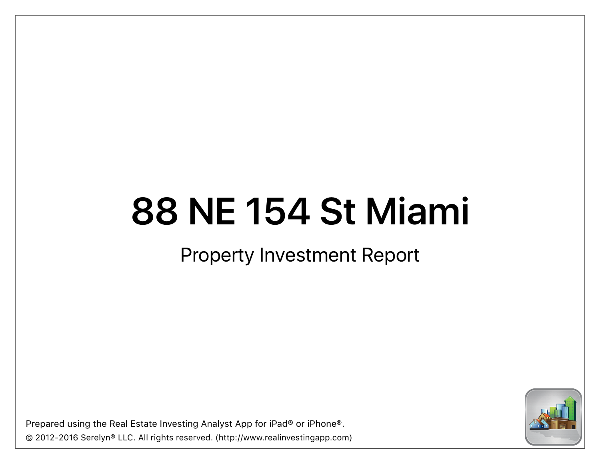### Property Investment Report

Prepared using the Real Estate Investing Analyst App for iPad® or iPhone®. © 2012-2016 Serelyn® LLC. All rights reserved. (http://www.realinvestingapp.com)

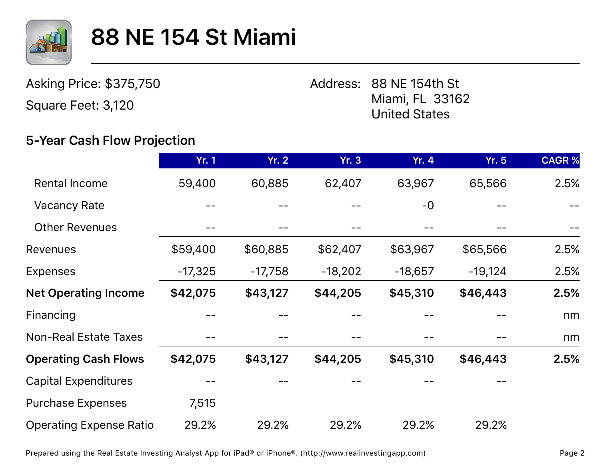

Asking Price: \$375,750

Square Feet: 3,120

Address: 88 NE 154th St Miami, FL 33162 United States

#### **5-Year Cash Flow Projection**

|                                | <b>Yr. 1</b> | Yr. 2     | <b>Yr. 3</b> | <b>Yr. 4</b> | <b>Yr. 5</b> | <b>CAGR%</b> |
|--------------------------------|--------------|-----------|--------------|--------------|--------------|--------------|
| <b>Rental Income</b>           | 59,400       | 60,885    | 62,407       | 63,967       | 65,566       | 2.5%         |
| <b>Vacancy Rate</b>            |              |           |              | $-0$         |              |              |
| <b>Other Revenues</b>          |              |           |              |              |              |              |
| <b>Revenues</b>                | \$59,400     | \$60,885  | \$62,407     | \$63,967     | \$65,566     | 2.5%         |
| <b>Expenses</b>                | $-17,325$    | $-17,758$ | $-18,202$    | $-18,657$    | $-19,124$    | 2.5%         |
| <b>Net Operating Income</b>    | \$42,075     | \$43,127  | \$44,205     | \$45,310     | \$46,443     | 2.5%         |
| Financing                      |              |           |              |              |              | nm           |
| <b>Non-Real Estate Taxes</b>   |              |           |              |              |              | nm           |
| <b>Operating Cash Flows</b>    | \$42,075     | \$43,127  | \$44,205     | \$45,310     | \$46,443     | 2.5%         |
| <b>Capital Expenditures</b>    |              |           |              |              |              |              |
| <b>Purchase Expenses</b>       | 7,515        |           |              |              |              |              |
| <b>Operating Expense Ratio</b> | 29.2%        | 29.2%     | 29.2%        | 29.2%        | 29.2%        |              |

Prepared using the Real Estate Investing Analyst App for iPad® or iPhone®. (http://www.realinvestingapp.com) Page 2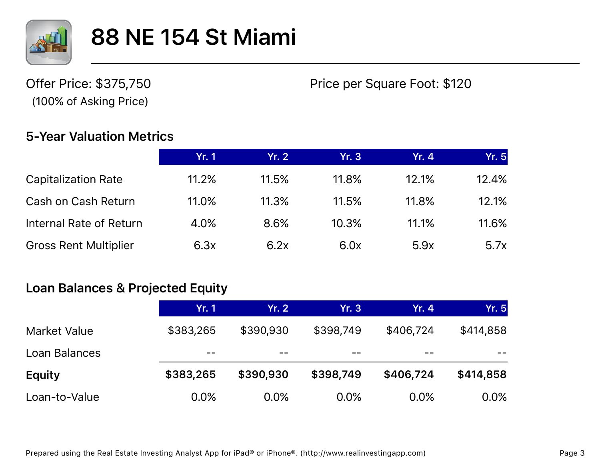

Offer Price: \$375,750 (100% of Asking Price)

Price per Square Foot: \$120

#### **5-Year Valuation Metrics**

|                              | Yr. 1 | Yr. 2 | Yr. $31$ | <b>Yr. 4</b> | Yr.5  |
|------------------------------|-------|-------|----------|--------------|-------|
| <b>Capitalization Rate</b>   | 11.2% | 11.5% | 11.8%    | 12.1%        | 12.4% |
| Cash on Cash Return          | 11.0% | 11.3% | 11.5%    | 11.8%        | 12.1% |
| Internal Rate of Return      | 4.0%  | 8.6%  | 10.3%    | 11.1%        | 11.6% |
| <b>Gross Rent Multiplier</b> | 6.3x  | 6.2x  | 6.0x     | 5.9x         | 5.7x  |

#### **Loan Balances & Projected Equity**

|                     | Yr. 1     | Yr. 2     | <b>Yr. 3</b> | <b>Yr. 4</b> | <b>Yr. 5</b> |
|---------------------|-----------|-----------|--------------|--------------|--------------|
| <b>Market Value</b> | \$383,265 | \$390,930 | \$398,749    | \$406,724    | \$414,858    |
| Loan Balances       | --        | --        |              | --           |              |
| <b>Equity</b>       | \$383,265 | \$390,930 | \$398,749    | \$406,724    | \$414,858    |
| Loan-to-Value       | 0.0%      | 0.0%      | 0.0%         | 0.0%         | $0.0\%$      |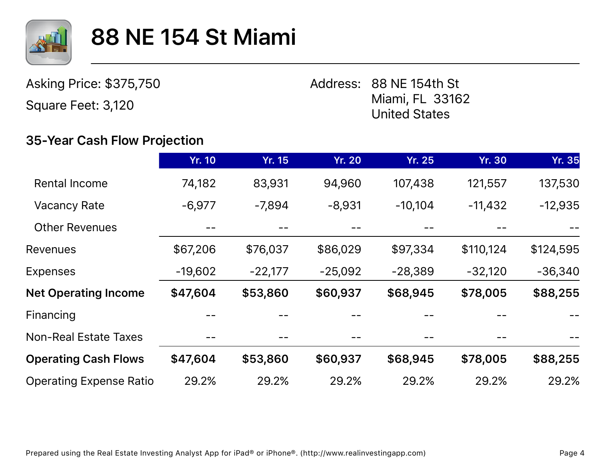

Asking Price: \$375,750

Square Feet: 3,120

Address: 88 NE 154th St Miami, FL 33162 United States

#### **35-Year Cash Flow Projection**

|                                | <b>Yr. 10</b> | <b>Yr. 15</b> | <b>Yr. 20</b> | <b>Yr. 25</b> | <b>Yr. 30</b> | <b>Yr. 35</b> |
|--------------------------------|---------------|---------------|---------------|---------------|---------------|---------------|
| <b>Rental Income</b>           | 74,182        | 83,931        | 94,960        | 107,438       | 121,557       | 137,530       |
| <b>Vacancy Rate</b>            | $-6,977$      | $-7,894$      | $-8,931$      | $-10,104$     | $-11,432$     | $-12,935$     |
| <b>Other Revenues</b>          |               |               |               |               |               |               |
| <b>Revenues</b>                | \$67,206      | \$76,037      | \$86,029      | \$97,334      | \$110,124     | \$124,595     |
| <b>Expenses</b>                | $-19,602$     | $-22,177$     | $-25,092$     | $-28,389$     | $-32,120$     | $-36,340$     |
| <b>Net Operating Income</b>    | \$47,604      | \$53,860      | \$60,937      | \$68,945      | \$78,005      | \$88,255      |
| Financing                      |               |               |               |               |               |               |
| <b>Non-Real Estate Taxes</b>   |               |               |               | --            |               |               |
| <b>Operating Cash Flows</b>    | \$47,604      | \$53,860      | \$60,937      | \$68,945      | \$78,005      | \$88,255      |
| <b>Operating Expense Ratio</b> | 29.2%         | 29.2%         | 29.2%         | 29.2%         | 29.2%         | 29.2%         |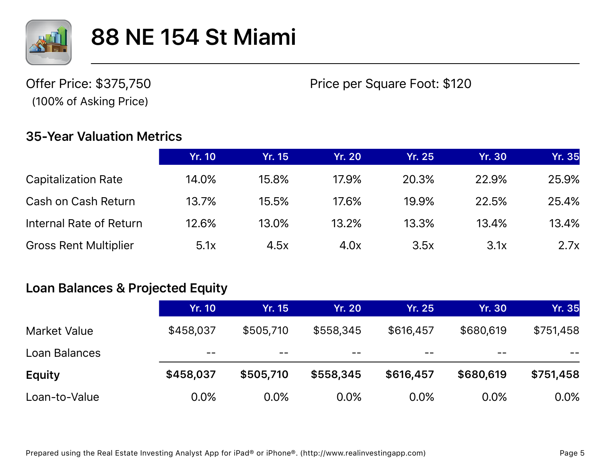

Offer Price: \$375,750 (100% of Asking Price)

Price per Square Foot: \$120

#### **35-Year Valuation Metrics**

|                              | <b>Yr. 10</b> | Yr. 15 | <b>Yr. 20</b> | <b>Yr. 25</b> | <b>Yr. 30</b> | <b>Yr. 35</b> |
|------------------------------|---------------|--------|---------------|---------------|---------------|---------------|
|                              |               |        |               |               |               |               |
| <b>Capitalization Rate</b>   | 14.0%         | 15.8%  | 17.9%         | 20.3%         | 22.9%         | 25.9%         |
| Cash on Cash Return          | 13.7%         | 15.5%  | 17.6%         | 19.9%         | 22.5%         | 25.4%         |
| Internal Rate of Return      | 12.6%         | 13.0%  | 13.2%         | 13.3%         | 13.4%         | 13.4%         |
| <b>Gross Rent Multiplier</b> | 5.1x          | 4.5x   | 4.0x          | 3.5x          | 3.1x          | 2.7x          |

#### **Loan Balances & Projected Equity**

|                     | <b>Yr. 10</b> | <b>Yr. 15</b> | <b>Yr. 20</b> | <b>Yr. 25</b> | <b>Yr. 30</b> | <b>Yr. 35</b> |
|---------------------|---------------|---------------|---------------|---------------|---------------|---------------|
| <b>Market Value</b> | \$458,037     | \$505,710     | \$558,345     | \$616,457     | \$680,619     | \$751,458     |
| Loan Balances       | --            | $- -$         | $- -$         | --            |               |               |
| <b>Equity</b>       | \$458,037     | \$505,710     | \$558,345     | \$616,457     | \$680,619     | \$751,458     |
| Loan-to-Value       | 0.0%          | 0.0%          | 0.0%          | 0.0%          | 0.0%          | $0.0\%$       |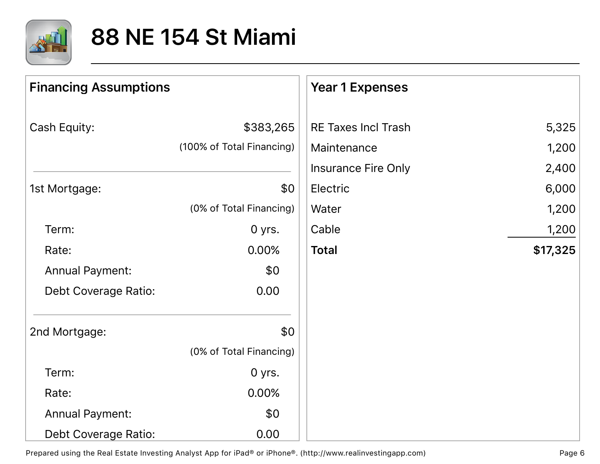

| <b>Financing Assumptions</b> |                           | <b>Year 1 Expenses</b>     |          |
|------------------------------|---------------------------|----------------------------|----------|
| Cash Equity:                 | \$383,265                 | <b>RE Taxes Incl Trash</b> | 5,325    |
|                              | (100% of Total Financing) | Maintenance                | 1,200    |
|                              |                           | <b>Insurance Fire Only</b> | 2,400    |
| 1st Mortgage:                | \$0                       | Electric                   | 6,000    |
|                              | (0% of Total Financing)   | Water                      | 1,200    |
| Term:                        | 0 yrs.                    | Cable                      | 1,200    |
| Rate:                        | 0.00%                     | <b>Total</b>               | \$17,325 |
| <b>Annual Payment:</b>       | \$0                       |                            |          |
| <b>Debt Coverage Ratio:</b>  | 0.00                      |                            |          |
| 2nd Mortgage:                | \$0                       |                            |          |
|                              | (0% of Total Financing)   |                            |          |
| Term:                        | 0 yrs.                    |                            |          |
| Rate:                        | 0.00%                     |                            |          |
| <b>Annual Payment:</b>       | \$0                       |                            |          |
| <b>Debt Coverage Ratio:</b>  | 0.00                      |                            |          |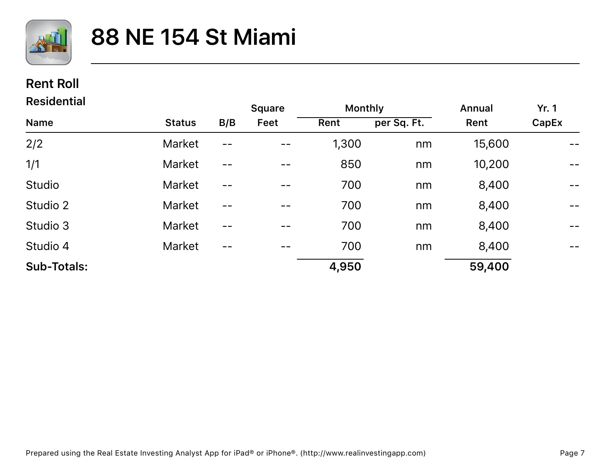

#### **Rent Roll**

| <b>Residential</b> |               |       | <b>Square</b> | <b>Monthly</b> |             | Annual | <b>Yr. 1</b>                                      |
|--------------------|---------------|-------|---------------|----------------|-------------|--------|---------------------------------------------------|
| <b>Name</b>        | <b>Status</b> | B/B   | Feet          | Rent           | per Sq. Ft. | Rent   | CapEx                                             |
| 2/2                | <b>Market</b> | $- -$ |               | 1,300          | nm          | 15,600 |                                                   |
| 1/1                | <b>Market</b> | $- -$ | --            | 850            | nm          | 10,200 | $\overline{\phantom{m}}$ $\overline{\phantom{m}}$ |
| Studio             | Market        | $- -$ |               | 700            | nm          | 8,400  | $\overline{\phantom{m}}$ $\overline{\phantom{m}}$ |
| Studio 2           | <b>Market</b> |       |               | 700            | nm          | 8,400  | $\overline{\phantom{m}}$ $\overline{\phantom{m}}$ |
| Studio 3           | <b>Market</b> | --    |               | 700            | nm          | 8,400  | $\overline{\phantom{m}}$ $\overline{\phantom{m}}$ |
| Studio 4           | <b>Market</b> | --    |               | 700            | nm          | 8,400  | $\overline{\phantom{m}}$ $\overline{\phantom{m}}$ |
| <b>Sub-Totals:</b> |               |       |               | 4,950          |             | 59,400 |                                                   |